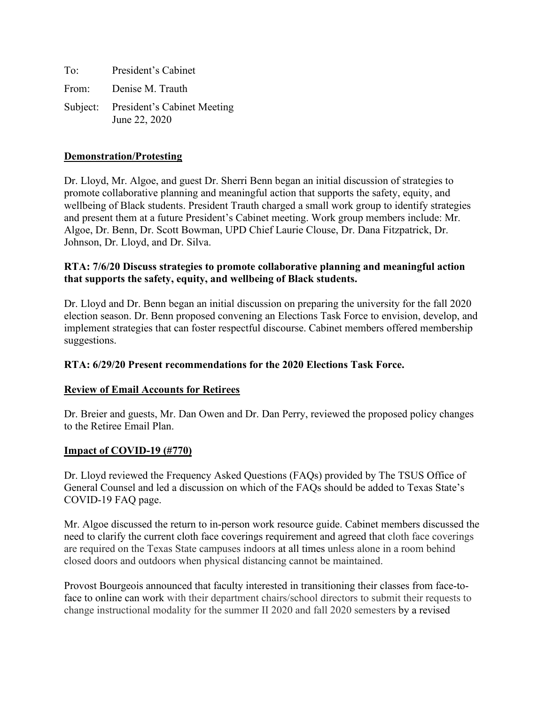To: President's Cabinet From: Denise M. Trauth Subject: President's Cabinet Meeting June 22, 2020

### **Demonstration/Protesting**

Dr. Lloyd, Mr. Algoe, and guest Dr. Sherri Benn began an initial discussion of strategies to promote collaborative planning and meaningful action that supports the safety, equity, and wellbeing of Black students. President Trauth charged a small work group to identify strategies and present them at a future President's Cabinet meeting. Work group members include: Mr. Algoe, Dr. Benn, Dr. Scott Bowman, UPD Chief Laurie Clouse, Dr. Dana Fitzpatrick, Dr. Johnson, Dr. Lloyd, and Dr. Silva.

# **RTA: 7/6/20 Discuss strategies to promote collaborative planning and meaningful action that supports the safety, equity, and wellbeing of Black students.**

Dr. Lloyd and Dr. Benn began an initial discussion on preparing the university for the fall 2020 election season. Dr. Benn proposed convening an Elections Task Force to envision, develop, and implement strategies that can foster respectful discourse. Cabinet members offered membership suggestions.

### **RTA: 6/29/20 Present recommendations for the 2020 Elections Task Force.**

### **Review of Email Accounts for Retirees**

Dr. Breier and guests, Mr. Dan Owen and Dr. Dan Perry, reviewed the proposed policy changes to the Retiree Email Plan.

### **Impact of COVID-19 (#770)**

Dr. Lloyd reviewed the Frequency Asked Questions (FAQs) provided by The TSUS Office of General Counsel and led a discussion on which of the FAQs should be added to Texas State's COVID-19 FAQ page.

Mr. Algoe discussed the return to in-person work resource guide. Cabinet members discussed the need to clarify the current cloth face coverings requirement and agreed that cloth face coverings are required on the Texas State campuses indoors at all times unless alone in a room behind closed doors and outdoors when physical distancing cannot be maintained.

Provost Bourgeois announced that faculty interested in transitioning their classes from face-toface to online can work with their department chairs/school directors to submit their requests to change instructional modality for the summer II 2020 and fall 2020 semesters by a revised